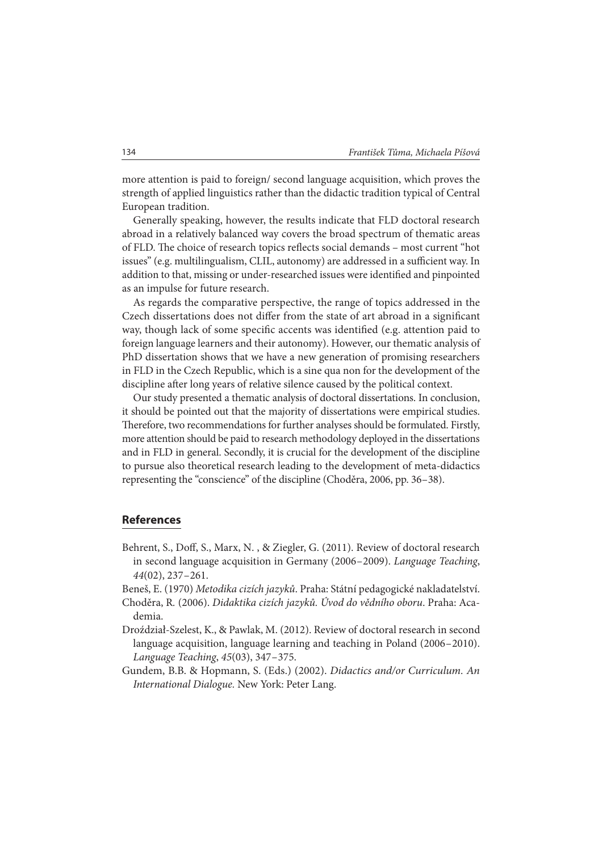more attention is paid to foreign/ second language acquisition, which proves the strength of applied linguistics rather than the didactic tradition typical of Central European tradition.

Generally speaking, however, the results indicate that FLD doctoral research abroad in a relatively balanced way covers the broad spectrum of thematic areas of FLD. The choice of research topics reflects social demands - most current "hot issues" (e.g. multilingualism, CLIL, autonomy) are addressed in a sufficient way. In addition to that, missing or under-researched issues were identified and pinpointed as an impulse for future research.

As regards the comparative perspective, the range of topics addressed in the Czech dissertations does not differ from the state of art abroad in a significant way, though lack of some specific accents was identified (e.g. attention paid to foreign language learners and their autonomy). However, our thematic analysis of PhD dissertation shows that we have a new generation of promising researchers in FLD in the Czech Republic, which is a sine qua non for the development of the discipline after long years of relative silence caused by the political context.

Our study presented a thematic analysis of doctoral dissertations. In conclusion, it should be pointed out that the majority of dissertations were empirical studies. Therefore, two recommendations for further analyses should be formulated. Firstly, more attention should be paid to research methodology deployed in the dissertations and in FLD in general. Secondly, it is crucial for the development of the discipline to pursue also theoretical research leading to the development of meta-didactics representing the "conscience" of the discipline (Choděra, 2006, pp. 36 – 38).

## **References**

- Behrent, S., Doff, S., Marx, N., & Ziegler, G. (2011). Review of doctoral research in second language acquisition in Germany (2006 – 2009). Language Teaching, 44(02), 237 – 261.
- Beneš, E. (1970) Metodika cizích jazyků. Praha: Státní pedagogické nakladatelství.
- Choděra, R. (2006). Didaktika cizích jazyků. Úvod do vědního oboru. Praha: Academia.
- Droździał-Szelest, K., & Pawlak, M. (2012). Review of doctoral research in second language acquisition, language learning and teaching in Poland (2006–2010). Language Teaching, 45(03), 347 – 375.
- Gundem, B.B. & Hopmann, S. (Eds.) (2002). Didactics and/or Curriculum. An International Dialogue. New York: Peter Lang.